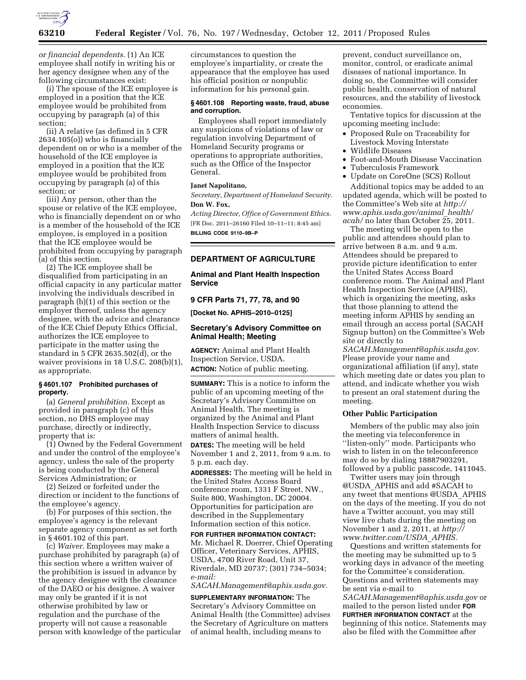

*or financial dependents.* (1) An ICE employee shall notify in writing his or her agency designee when any of the following circumstances exist:

(i) The spouse of the ICE employee is employed in a position that the ICE employee would be prohibited from occupying by paragraph (a) of this section;

(ii) A relative (as defined in 5 CFR 2634.105(o)) who is financially dependent on or who is a member of the household of the ICE employee is employed in a position that the ICE employee would be prohibited from occupying by paragraph (a) of this section; or

(iii) Any person, other than the spouse or relative of the ICE employee, who is financially dependent on or who is a member of the household of the ICE employee, is employed in a position that the ICE employee would be prohibited from occupying by paragraph (a) of this section.

(2) The ICE employee shall be disqualified from participating in an official capacity in any particular matter involving the individuals described in paragraph (b)(1) of this section or the employer thereof, unless the agency designee, with the advice and clearance of the ICE Chief Deputy Ethics Official, authorizes the ICE employee to participate in the matter using the standard in 5 CFR 2635.502(d), or the waiver provisions in 18 U.S.C. 208(b)(1), as appropriate.

#### **§ 4601.107 Prohibited purchases of property.**

(a) *General prohibition.* Except as provided in paragraph (c) of this section, no DHS employee may purchase, directly or indirectly, property that is:

(1) Owned by the Federal Government and under the control of the employee's agency, unless the sale of the property is being conducted by the General Services Administration; or

(2) Seized or forfeited under the direction or incident to the functions of the employee's agency.

(b) For purposes of this section, the employee's agency is the relevant separate agency component as set forth in § 4601.102 of this part.

(c) *Waiver.* Employees may make a purchase prohibited by paragraph (a) of this section where a written waiver of the prohibition is issued in advance by the agency designee with the clearance of the DAEO or his designee. A waiver may only be granted if it is not otherwise prohibited by law or regulation and the purchase of the property will not cause a reasonable person with knowledge of the particular

circumstances to question the employee's impartiality, or create the appearance that the employee has used his official position or nonpublic information for his personal gain.

### **§ 4601.108 Reporting waste, fraud, abuse and corruption.**

Employees shall report immediately any suspicions of violations of law or regulation involving Department of Homeland Security programs or operations to appropriate authorities, such as the Office of the Inspector General.

### **Janet Napolitano,**

*Secretary, Department of Homeland Security.*  **Don W. Fox,** 

*Acting Director, Office of Government Ethics.*  [FR Doc. 2011–26160 Filed 10–11–11; 8:45 am] **BILLING CODE 9110–9B–P** 

### **DEPARTMENT OF AGRICULTURE**

### **Animal and Plant Health Inspection Service**

### **9 CFR Parts 71, 77, 78, and 90**

**[Docket No. APHIS–2010–0125]** 

### **Secretary's Advisory Committee on Animal Health; Meeting**

**AGENCY:** Animal and Plant Health Inspection Service, USDA. **ACTION:** Notice of public meeting.

**SUMMARY:** This is a notice to inform the public of an upcoming meeting of the Secretary's Advisory Committee on Animal Health. The meeting is organized by the Animal and Plant Health Inspection Service to discuss matters of animal health.

**DATES:** The meeting will be held November 1 and 2, 2011, from 9 a.m. to 5 p.m. each day.

**ADDRESSES:** The meeting will be held in the United States Access Board conference room, 1331 F Street, NW., Suite 800, Washington, DC 20004. Opportunities for participation are described in the Supplementary Information section of this notice.

**FOR FURTHER INFORMATION CONTACT:**  Mr. Michael R. Doerrer, Chief Operating Officer, Veterinary Services, APHIS, USDA, 4700 River Road, Unit 37, Riverdale, MD 20737; (301) 734–5034; *e-mail:* 

*[SACAH.Management@aphis.usda.gov.](mailto:SACAH.Management@aphis.usda.gov)* 

**SUPPLEMENTARY INFORMATION:** The Secretary's Advisory Committee on Animal Health (the Committee) advises the Secretary of Agriculture on matters of animal health, including means to

prevent, conduct surveillance on, monitor, control, or eradicate animal diseases of national importance. In doing so, the Committee will consider public health, conservation of natural resources, and the stability of livestock economies.

Tentative topics for discussion at the upcoming meeting include:

- Proposed Rule on Traceability for Livestock Moving Interstate
- Wildlife Diseases
- Foot-and-Mouth Disease Vaccination
- Tuberculosis Framework
- Update on CoreOne (SCS) Rollout

Additional topics may be added to an updated agenda, which will be posted to the Committee's Web site at *[http://](http://www.aphis.usda.gov/animal_health/acah/)  [www.aphis.usda.gov/animal](http://www.aphis.usda.gov/animal_health/acah/)*\_*health/ [acah/](http://www.aphis.usda.gov/animal_health/acah/)* no later than October 25, 2011.

The meeting will be open to the public and attendees should plan to arrive between 8 a.m. and 9 a.m. Attendees should be prepared to provide picture identification to enter the United States Access Board conference room. The Animal and Plant Health Inspection Service (APHIS), which is organizing the meeting, asks that those planning to attend the meeting inform APHIS by sending an email through an access portal (SACAH Signup button) on the Committee's Web site or directly to

*[SACAH.Management@aphis.usda.gov.](mailto:SACAH.Management@aphis.usda.gov)*  Please provide your name and organizational affiliation (if any), state which meeting date or dates you plan to attend, and indicate whether you wish to present an oral statement during the meeting.

### **Other Public Participation**

Members of the public may also join the meeting via teleconference in "listen-only" mode. Participants who wish to listen in on the teleconference may do so by dialing 18887903291, followed by a public passcode, 1411045.

Twitter users may join through @USDA\_APHIS and add #SACAH to any tweet that mentions @USDA\_APHIS on the days of the meeting. If you do not have a Twitter account, you may still view live chats during the meeting on November 1 and 2, 2011, at *[http://](http://www.twitter.com/USDA_APHIS)  [www.twitter.com/USDA](http://www.twitter.com/USDA_APHIS)*\_*APHIS.* 

Questions and written statements for the meeting may be submitted up to 5 working days in advance of the meeting for the Committee's consideration. Questions and written statements may be sent via e-mail to

*[SACAH.Management@aphis.usda.gov](mailto:SACAH.Management@aphis.usda.gov)* or mailed to the person listed under **FOR FURTHER INFORMATION CONTACT** at the beginning of this notice. Statements may also be filed with the Committee after